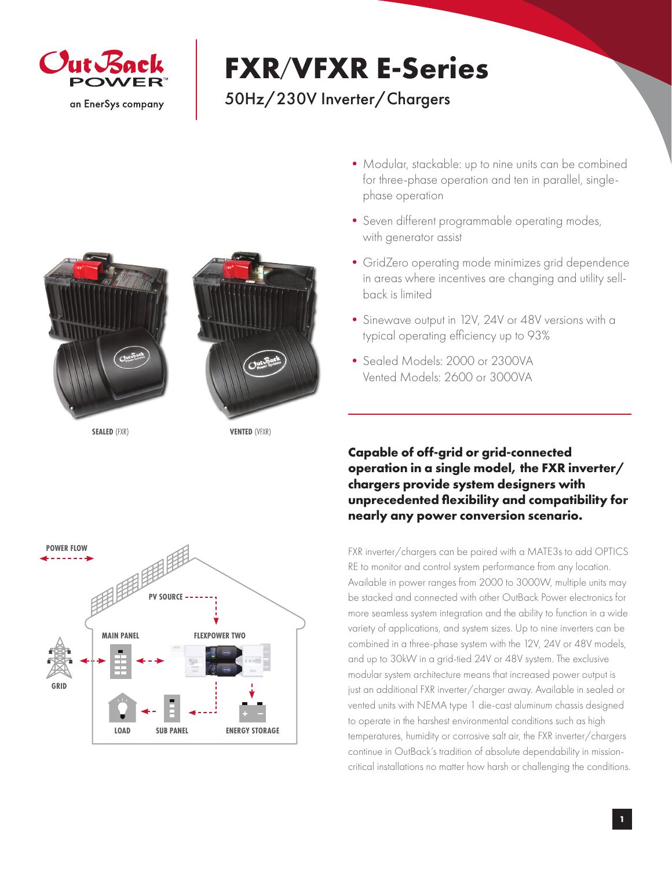

## **FXR**/**VFXR E-Series**

## 50Hz/230V Inverter/Chargers





**SEALED** (FXR) **VENTED** (VFXR)



- Modular, stackable: up to nine units can be combined for three-phase operation and ten in parallel, singlephase operation
- •Seven different programmable operating modes, with generator assist
- •GridZero operating mode minimizes grid dependence in areas where incentives are changing and utility sellback is limited
- •Sinewave output in 12V, 24V or 48V versions with a typical operating efficiency up to 93%
- •Sealed Models: 2000 or 2300VA Vented Models: 2600 or 3000VA

## **Capable of off-grid or grid-connected operation in a single model, the FXR inverter/ chargers provide system designers with unprecedented flexibility and compatibility for nearly any power conversion scenario.**

FXR inverter/chargers can be paired with a MATE3s to add OPTICS RE to monitor and control system performance from any location. Available in power ranges from 2000 to 3000W, multiple units may be stacked and connected with other OutBack Power electronics for more seamless system integration and the ability to function in a wide variety of applications, and system sizes. Up to nine inverters can be combined in a three-phase system with the 12V, 24V or 48V models, and up to 30kW in a grid-tied 24V or 48V system. The exclusive modular system architecture means that increased power output is just an additional FXR inverter/charger away. Available in sealed or vented units with NEMA type 1 die-cast aluminum chassis designed to operate in the harshest environmental conditions such as high temperatures, humidity or corrosive salt air, the FXR inverter/chargers continue in OutBack's tradition of absolute dependability in missioncritical installations no matter how harsh or challenging the conditions.